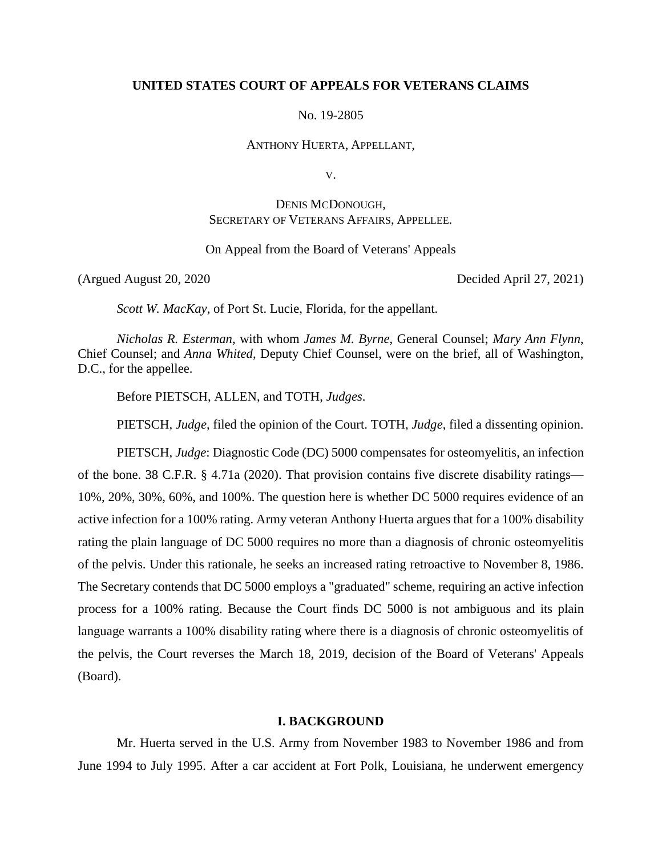## **UNITED STATES COURT OF APPEALS FOR VETERANS CLAIMS**

No. 19-2805

ANTHONY HUERTA, APPELLANT,

V.

# DENIS MCDONOUGH, SECRETARY OF VETERANS AFFAIRS, APPELLEE.

On Appeal from the Board of Veterans' Appeals

(Argued August 20, 2020 Decided April 27, 2021)

*Scott W. MacKay*, of Port St. Lucie, Florida, for the appellant.

*Nicholas R. Esterman*, with whom *James M. Byrne*, General Counsel; *Mary Ann Flynn*, Chief Counsel; and *Anna Whited*, Deputy Chief Counsel, were on the brief, all of Washington, D.C., for the appellee.

Before PIETSCH, ALLEN, and TOTH, *Judges*.

PIETSCH, *Judge*, filed the opinion of the Court. TOTH, *Judge*, filed a dissenting opinion.

PIETSCH, *Judge*: Diagnostic Code (DC) 5000 compensates for osteomyelitis, an infection of the bone. 38 C.F.R. § 4.71a (2020). That provision contains five discrete disability ratings— 10%, 20%, 30%, 60%, and 100%. The question here is whether DC 5000 requires evidence of an active infection for a 100% rating. Army veteran Anthony Huerta argues that for a 100% disability rating the plain language of DC 5000 requires no more than a diagnosis of chronic osteomyelitis of the pelvis. Under this rationale, he seeks an increased rating retroactive to November 8, 1986. The Secretary contends that DC 5000 employs a "graduated" scheme, requiring an active infection process for a 100% rating. Because the Court finds DC 5000 is not ambiguous and its plain language warrants a 100% disability rating where there is a diagnosis of chronic osteomyelitis of the pelvis, the Court reverses the March 18, 2019, decision of the Board of Veterans' Appeals (Board).

### **I. BACKGROUND**

Mr. Huerta served in the U.S. Army from November 1983 to November 1986 and from June 1994 to July 1995. After a car accident at Fort Polk, Louisiana, he underwent emergency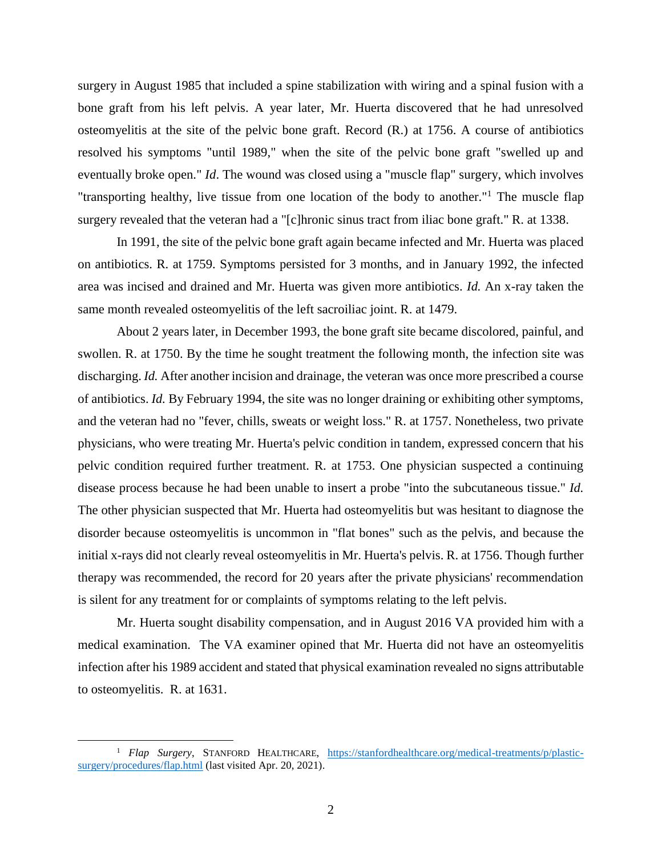surgery in August 1985 that included a spine stabilization with wiring and a spinal fusion with a bone graft from his left pelvis. A year later, Mr. Huerta discovered that he had unresolved osteomyelitis at the site of the pelvic bone graft. Record (R.) at 1756. A course of antibiotics resolved his symptoms "until 1989," when the site of the pelvic bone graft "swelled up and eventually broke open." *Id*. The wound was closed using a "muscle flap" surgery, which involves "transporting healthy, live tissue from one location of the body to another."<sup>1</sup> The muscle flap surgery revealed that the veteran had a "[c]hronic sinus tract from iliac bone graft." R. at 1338.

In 1991, the site of the pelvic bone graft again became infected and Mr. Huerta was placed on antibiotics. R. at 1759. Symptoms persisted for 3 months, and in January 1992, the infected area was incised and drained and Mr. Huerta was given more antibiotics. *Id.* An x-ray taken the same month revealed osteomyelitis of the left sacroiliac joint. R. at 1479.

About 2 years later, in December 1993, the bone graft site became discolored, painful, and swollen. R. at 1750. By the time he sought treatment the following month, the infection site was discharging. *Id.* After another incision and drainage, the veteran was once more prescribed a course of antibiotics. *Id.* By February 1994, the site was no longer draining or exhibiting other symptoms, and the veteran had no "fever, chills, sweats or weight loss." R. at 1757. Nonetheless, two private physicians, who were treating Mr. Huerta's pelvic condition in tandem, expressed concern that his pelvic condition required further treatment. R. at 1753. One physician suspected a continuing disease process because he had been unable to insert a probe "into the subcutaneous tissue." *Id.* The other physician suspected that Mr. Huerta had osteomyelitis but was hesitant to diagnose the disorder because osteomyelitis is uncommon in "flat bones" such as the pelvis, and because the initial x-rays did not clearly reveal osteomyelitis in Mr. Huerta's pelvis. R. at 1756. Though further therapy was recommended, the record for 20 years after the private physicians' recommendation is silent for any treatment for or complaints of symptoms relating to the left pelvis.

Mr. Huerta sought disability compensation, and in August 2016 VA provided him with a medical examination. The VA examiner opined that Mr. Huerta did not have an osteomyelitis infection after his 1989 accident and stated that physical examination revealed no signs attributable to osteomyelitis. R. at 1631.

 $\overline{a}$ 

<sup>&</sup>lt;sup>1</sup> *Flap Surgery*, STANFORD HEALTHCARE, [https://stanfordhealthcare.org/medical-treatments/p/plastic](https://stanfordhealthcare.org/medical-treatments/p/plastic-surgery/procedures/flap.html)[surgery/procedures/flap.html](https://stanfordhealthcare.org/medical-treatments/p/plastic-surgery/procedures/flap.html) (last visited Apr. 20, 2021).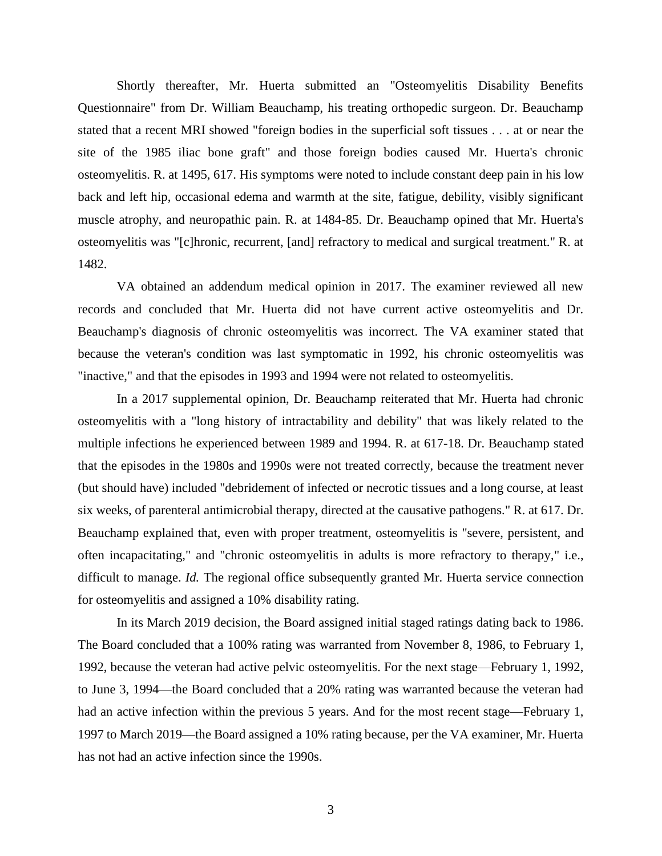Shortly thereafter, Mr. Huerta submitted an "Osteomyelitis Disability Benefits Questionnaire" from Dr. William Beauchamp, his treating orthopedic surgeon. Dr. Beauchamp stated that a recent MRI showed "foreign bodies in the superficial soft tissues . . . at or near the site of the 1985 iliac bone graft" and those foreign bodies caused Mr. Huerta's chronic osteomyelitis. R. at 1495, 617. His symptoms were noted to include constant deep pain in his low back and left hip, occasional edema and warmth at the site, fatigue, debility, visibly significant muscle atrophy, and neuropathic pain. R. at 1484-85. Dr. Beauchamp opined that Mr. Huerta's osteomyelitis was "[c]hronic, recurrent, [and] refractory to medical and surgical treatment." R. at 1482.

VA obtained an addendum medical opinion in 2017. The examiner reviewed all new records and concluded that Mr. Huerta did not have current active osteomyelitis and Dr. Beauchamp's diagnosis of chronic osteomyelitis was incorrect. The VA examiner stated that because the veteran's condition was last symptomatic in 1992, his chronic osteomyelitis was "inactive," and that the episodes in 1993 and 1994 were not related to osteomyelitis.

In a 2017 supplemental opinion, Dr. Beauchamp reiterated that Mr. Huerta had chronic osteomyelitis with a "long history of intractability and debility" that was likely related to the multiple infections he experienced between 1989 and 1994. R. at 617-18. Dr. Beauchamp stated that the episodes in the 1980s and 1990s were not treated correctly, because the treatment never (but should have) included "debridement of infected or necrotic tissues and a long course, at least six weeks, of parenteral antimicrobial therapy, directed at the causative pathogens." R. at 617. Dr. Beauchamp explained that, even with proper treatment, osteomyelitis is "severe, persistent, and often incapacitating," and "chronic osteomyelitis in adults is more refractory to therapy," i.e., difficult to manage. *Id.* The regional office subsequently granted Mr. Huerta service connection for osteomyelitis and assigned a 10% disability rating.

In its March 2019 decision, the Board assigned initial staged ratings dating back to 1986. The Board concluded that a 100% rating was warranted from November 8, 1986, to February 1, 1992, because the veteran had active pelvic osteomyelitis. For the next stage—February 1, 1992, to June 3, 1994—the Board concluded that a 20% rating was warranted because the veteran had had an active infection within the previous 5 years. And for the most recent stage—February 1, 1997 to March 2019—the Board assigned a 10% rating because, per the VA examiner, Mr. Huerta has not had an active infection since the 1990s.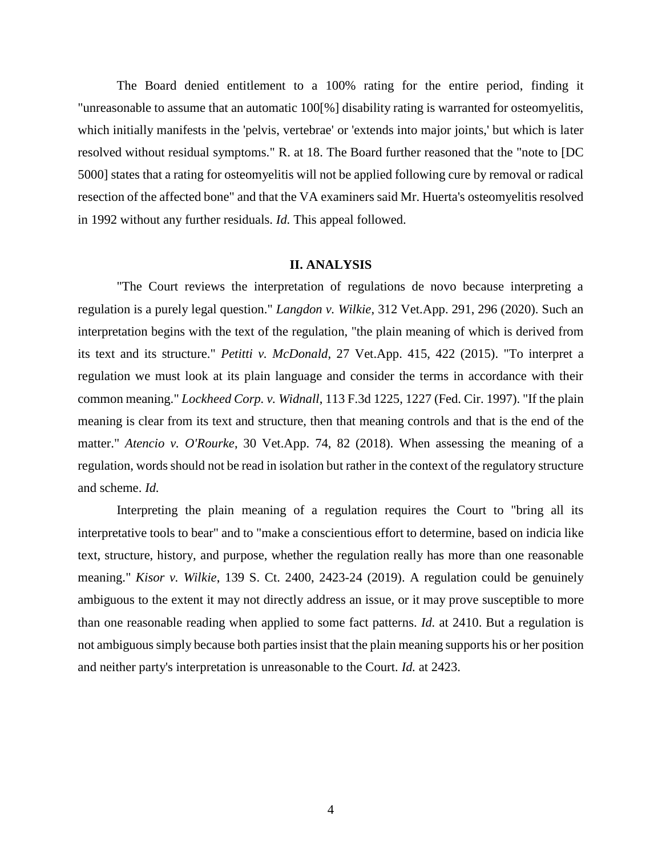The Board denied entitlement to a 100% rating for the entire period, finding it "unreasonable to assume that an automatic 100[%] disability rating is warranted for osteomyelitis, which initially manifests in the 'pelvis, vertebrae' or 'extends into major joints,' but which is later resolved without residual symptoms." R. at 18. The Board further reasoned that the "note to [DC 5000] states that a rating for osteomyelitis will not be applied following cure by removal or radical resection of the affected bone" and that the VA examiners said Mr. Huerta's osteomyelitis resolved in 1992 without any further residuals. *Id.* This appeal followed.

### **II. ANALYSIS**

"The Court reviews the interpretation of regulations de novo because interpreting a regulation is a purely legal question." *Langdon v. Wilkie*, 312 Vet.App. 291, 296 (2020). Such an interpretation begins with the text of the regulation, "the plain meaning of which is derived from its text and its structure." *Petitti v. McDonald*, 27 Vet.App. 415, 422 (2015). "To interpret a regulation we must look at its plain language and consider the terms in accordance with their common meaning." *Lockheed Corp. v. Widnall*, 113 F.3d 1225, 1227 (Fed. Cir. 1997). "If the plain meaning is clear from its text and structure, then that meaning controls and that is the end of the matter." *Atencio v. O'Rourke*, 30 Vet.App. 74, 82 (2018). When assessing the meaning of a regulation, words should not be read in isolation but rather in the context of the regulatory structure and scheme. *Id.*

Interpreting the plain meaning of a regulation requires the Court to "bring all its interpretative tools to bear" and to "make a conscientious effort to determine, based on indicia like text, structure, history, and purpose, whether the regulation really has more than one reasonable meaning." *Kisor v. Wilkie*, 139 S. Ct. 2400, 2423-24 (2019). A regulation could be genuinely ambiguous to the extent it may not directly address an issue, or it may prove susceptible to more than one reasonable reading when applied to some fact patterns. *Id.* at 2410. But a regulation is not ambiguous simply because both parties insist that the plain meaning supports his or her position and neither party's interpretation is unreasonable to the Court. *Id.* at 2423.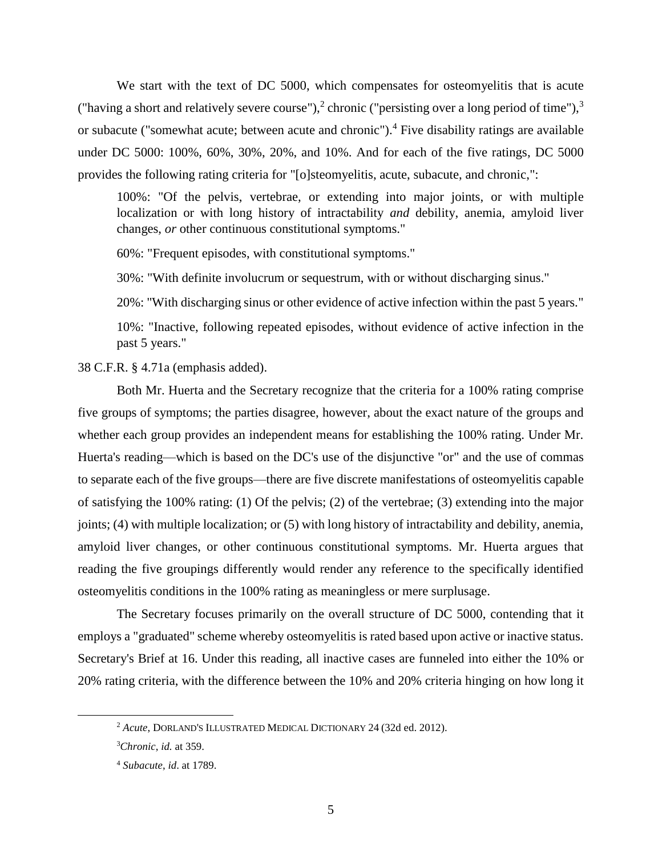We start with the text of DC 5000, which compensates for osteomyelitis that is acute ("having a short and relatively severe course"),<sup>2</sup> chronic ("persisting over a long period of time"),<sup>3</sup> or subacute ("somewhat acute; between acute and chronic").<sup>4</sup> Five disability ratings are available under DC 5000: 100%, 60%, 30%, 20%, and 10%. And for each of the five ratings, DC 5000 provides the following rating criteria for "[o]steomyelitis, acute, subacute, and chronic,":

100%: "Of the pelvis, vertebrae, or extending into major joints, or with multiple localization or with long history of intractability *and* debility, anemia, amyloid liver changes, *or* other continuous constitutional symptoms."

60%: "Frequent episodes, with constitutional symptoms."

30%: "With definite involucrum or sequestrum, with or without discharging sinus."

20%: "With discharging sinus or other evidence of active infection within the past 5 years."

10%: "Inactive, following repeated episodes, without evidence of active infection in the past 5 years."

38 C.F.R. § 4.71a (emphasis added).

Both Mr. Huerta and the Secretary recognize that the criteria for a 100% rating comprise five groups of symptoms; the parties disagree, however, about the exact nature of the groups and whether each group provides an independent means for establishing the 100% rating. Under Mr. Huerta's reading—which is based on the DC's use of the disjunctive "or" and the use of commas to separate each of the five groups—there are five discrete manifestations of osteomyelitis capable of satisfying the 100% rating: (1) Of the pelvis; (2) of the vertebrae; (3) extending into the major joints; (4) with multiple localization; or (5) with long history of intractability and debility, anemia, amyloid liver changes, or other continuous constitutional symptoms. Mr. Huerta argues that reading the five groupings differently would render any reference to the specifically identified osteomyelitis conditions in the 100% rating as meaningless or mere surplusage.

The Secretary focuses primarily on the overall structure of DC 5000, contending that it employs a "graduated" scheme whereby osteomyelitis is rated based upon active or inactive status. Secretary's Brief at 16. Under this reading, all inactive cases are funneled into either the 10% or 20% rating criteria, with the difference between the 10% and 20% criteria hinging on how long it

 $\overline{a}$ 

<sup>2</sup> *Acute*, DORLAND'S ILLUSTRATED MEDICAL DICTIONARY 24 (32d ed. 2012).

<sup>3</sup>*Chronic*, *id.* at 359.

<sup>4</sup> *Subacute*, *id*. at 1789.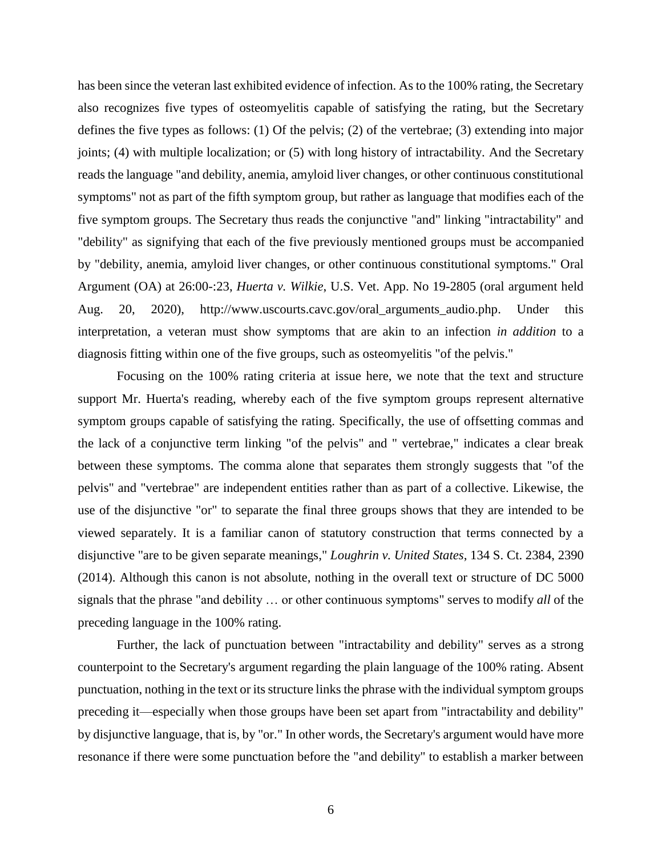has been since the veteran last exhibited evidence of infection. As to the 100% rating, the Secretary also recognizes five types of osteomyelitis capable of satisfying the rating, but the Secretary defines the five types as follows: (1) Of the pelvis; (2) of the vertebrae; (3) extending into major joints; (4) with multiple localization; or (5) with long history of intractability. And the Secretary reads the language "and debility, anemia, amyloid liver changes, or other continuous constitutional symptoms" not as part of the fifth symptom group, but rather as language that modifies each of the five symptom groups. The Secretary thus reads the conjunctive "and" linking "intractability" and "debility" as signifying that each of the five previously mentioned groups must be accompanied by "debility, anemia, amyloid liver changes, or other continuous constitutional symptoms." Oral Argument (OA) at 26:00-:23, *Huerta v. Wilkie*, U.S. Vet. App. No 19-2805 (oral argument held Aug. 20, 2020), http://www.uscourts.cavc.gov/oral\_arguments\_audio.php. Under this interpretation, a veteran must show symptoms that are akin to an infection *in addition* to a diagnosis fitting within one of the five groups, such as osteomyelitis "of the pelvis."

Focusing on the 100% rating criteria at issue here, we note that the text and structure support Mr. Huerta's reading, whereby each of the five symptom groups represent alternative symptom groups capable of satisfying the rating. Specifically, the use of offsetting commas and the lack of a conjunctive term linking "of the pelvis" and " vertebrae," indicates a clear break between these symptoms. The comma alone that separates them strongly suggests that "of the pelvis" and "vertebrae" are independent entities rather than as part of a collective. Likewise, the use of the disjunctive "or" to separate the final three groups shows that they are intended to be viewed separately. It is a familiar canon of statutory construction that terms connected by a disjunctive "are to be given separate meanings," *Loughrin v. United States*, 134 S. Ct. 2384, 2390 (2014). Although this canon is not absolute, nothing in the overall text or structure of DC 5000 signals that the phrase "and debility … or other continuous symptoms" serves to modify *all* of the preceding language in the 100% rating.

Further, the lack of punctuation between "intractability and debility" serves as a strong counterpoint to the Secretary's argument regarding the plain language of the 100% rating. Absent punctuation, nothing in the text or its structure links the phrase with the individual symptom groups preceding it—especially when those groups have been set apart from "intractability and debility" by disjunctive language, that is, by "or." In other words, the Secretary's argument would have more resonance if there were some punctuation before the "and debility" to establish a marker between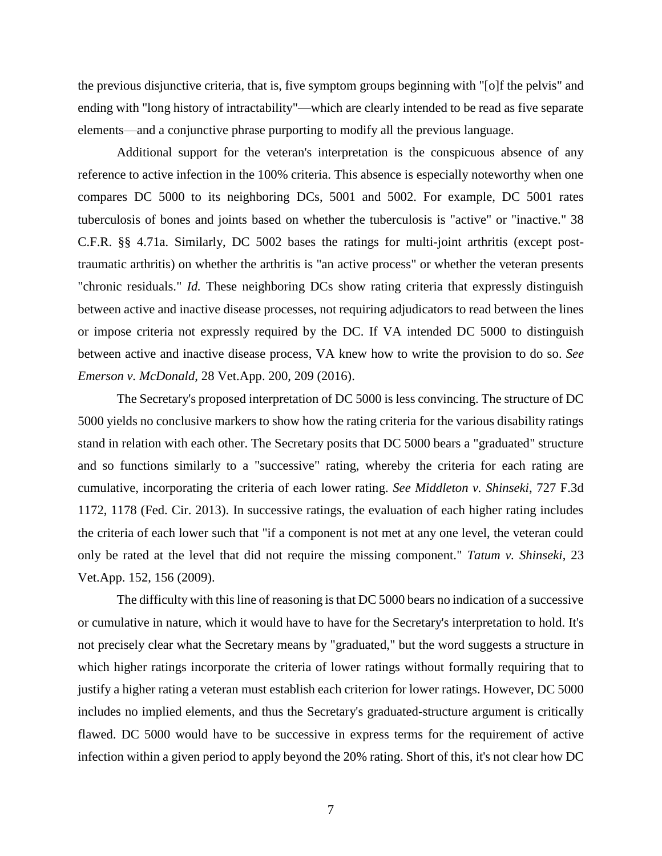the previous disjunctive criteria, that is, five symptom groups beginning with "[o]f the pelvis" and ending with "long history of intractability"—which are clearly intended to be read as five separate elements—and a conjunctive phrase purporting to modify all the previous language.

Additional support for the veteran's interpretation is the conspicuous absence of any reference to active infection in the 100% criteria. This absence is especially noteworthy when one compares DC 5000 to its neighboring DCs, 5001 and 5002. For example, DC 5001 rates tuberculosis of bones and joints based on whether the tuberculosis is "active" or "inactive." 38 C.F.R. §§ 4.71a. Similarly, DC 5002 bases the ratings for multi-joint arthritis (except posttraumatic arthritis) on whether the arthritis is "an active process" or whether the veteran presents "chronic residuals." *Id.* These neighboring DCs show rating criteria that expressly distinguish between active and inactive disease processes, not requiring adjudicators to read between the lines or impose criteria not expressly required by the DC. If VA intended DC 5000 to distinguish between active and inactive disease process, VA knew how to write the provision to do so. *See Emerson v. McDonald*, 28 Vet.App. 200, 209 (2016).

The Secretary's proposed interpretation of DC 5000 is less convincing. The structure of DC 5000 yields no conclusive markers to show how the rating criteria for the various disability ratings stand in relation with each other. The Secretary posits that DC 5000 bears a "graduated" structure and so functions similarly to a "successive" rating, whereby the criteria for each rating are cumulative, incorporating the criteria of each lower rating. *See Middleton v. Shinseki*, 727 F.3d 1172, 1178 (Fed. Cir. 2013). In successive ratings, the evaluation of each higher rating includes the criteria of each lower such that "if a component is not met at any one level, the veteran could only be rated at the level that did not require the missing component." *Tatum v. Shinseki*, 23 Vet.App. 152, 156 (2009).

The difficulty with this line of reasoning is that DC 5000 bears no indication of a successive or cumulative in nature, which it would have to have for the Secretary's interpretation to hold. It's not precisely clear what the Secretary means by "graduated," but the word suggests a structure in which higher ratings incorporate the criteria of lower ratings without formally requiring that to justify a higher rating a veteran must establish each criterion for lower ratings. However, DC 5000 includes no implied elements, and thus the Secretary's graduated-structure argument is critically flawed. DC 5000 would have to be successive in express terms for the requirement of active infection within a given period to apply beyond the 20% rating. Short of this, it's not clear how DC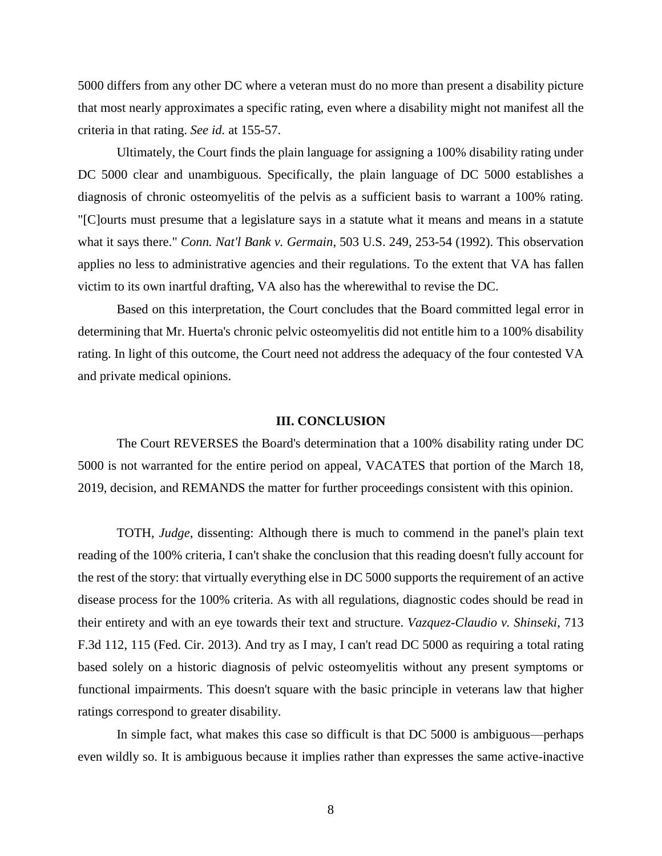5000 differs from any other DC where a veteran must do no more than present a disability picture that most nearly approximates a specific rating, even where a disability might not manifest all the criteria in that rating. *See id.* at 155-57.

Ultimately, the Court finds the plain language for assigning a 100% disability rating under DC 5000 clear and unambiguous. Specifically, the plain language of DC 5000 establishes a diagnosis of chronic osteomyelitis of the pelvis as a sufficient basis to warrant a 100% rating. "[C]ourts must presume that a legislature says in a statute what it means and means in a statute what it says there." *Conn. Nat'l Bank v. Germain*, 503 U.S. 249, 253-54 (1992). This observation applies no less to administrative agencies and their regulations. To the extent that VA has fallen victim to its own inartful drafting, VA also has the wherewithal to revise the DC.

Based on this interpretation, the Court concludes that the Board committed legal error in determining that Mr. Huerta's chronic pelvic osteomyelitis did not entitle him to a 100% disability rating. In light of this outcome, the Court need not address the adequacy of the four contested VA and private medical opinions.

#### **III. CONCLUSION**

The Court REVERSES the Board's determination that a 100% disability rating under DC 5000 is not warranted for the entire period on appeal, VACATES that portion of the March 18, 2019, decision, and REMANDS the matter for further proceedings consistent with this opinion.

TOTH, *Judge*, dissenting: Although there is much to commend in the panel's plain text reading of the 100% criteria, I can't shake the conclusion that this reading doesn't fully account for the rest of the story: that virtually everything else in DC 5000 supports the requirement of an active disease process for the 100% criteria. As with all regulations, diagnostic codes should be read in their entirety and with an eye towards their text and structure. *Vazquez-Claudio v. Shinseki*, 713 F.3d 112, 115 (Fed. Cir. 2013). And try as I may, I can't read DC 5000 as requiring a total rating based solely on a historic diagnosis of pelvic osteomyelitis without any present symptoms or functional impairments. This doesn't square with the basic principle in veterans law that higher ratings correspond to greater disability.

In simple fact, what makes this case so difficult is that DC 5000 is ambiguous—perhaps even wildly so. It is ambiguous because it implies rather than expresses the same active-inactive